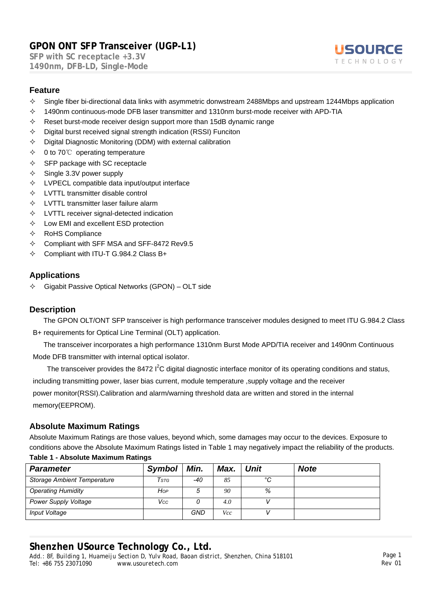**SFP with SC receptacle +3.3V 1490nm, DFB-LD, Single-Mode** 



#### **Feature**

- $\Diamond$  Single fiber bi-directional data links with asymmetric donwstream 2488Mbps and upstream 1244Mbps application
- $\div$  1490nm continuous-mode DFB laser transmitter and 1310nm burst-mode receiver with APD-TIA
- $\Diamond$  Reset burst-mode receiver design support more than 15dB dynamic range
- $\Diamond$  Digital burst received signal strength indication (RSSI) Funciton
- $\Diamond$  Digital Diagnostic Monitoring (DDM) with external calibration
- 0 to 70℃ operating temperature
- $\div$  SFP package with SC receptacle
- $\diamond$  Single 3.3V power supply
- $\Diamond$  LVPECL compatible data input/output interface
- $\Diamond$  LVTTL transmitter disable control
- $\Diamond$  LVTTL transmitter laser failure alarm
- $\Diamond$  LVTTL receiver signal-detected indication
- $\Diamond$  Low EMI and excellent ESD protection
- $\Leftrightarrow$  RoHS Compliance
- $\div$  Compliant with SFF MSA and SFF-8472 Rev9.5
- $\div$  Compliant with ITU-T G.984.2 Class B+

### **Applications**

 $\div$  Gigabit Passive Optical Networks (GPON) – OLT side

### **Description**

The GPON OLT/ONT SFP transceiver is high performance transceiver modules designed to meet ITU G.984.2 Class B+ requirements for Optical Line Terminal (OLT) application.

The transceiver incorporates a high performance 1310nm Burst Mode APD/TIA receiver and 1490nm Continuous Mode DFB transmitter with internal optical isolator.

The transceiver provides the 8472  $1^2C$  digital diagnostic interface monitor of its operating conditions and status, including transmitting power, laser bias current, module temperature ,supply voltage and the receiver power monitor(RSSI).Calibration and alarm/warning threshold data are written and stored in the internal memory(EEPROM).

### **Absolute Maximum Ratings**

Absolute Maximum Ratings are those values, beyond which, some damages may occur to the devices. Exposure to conditions above the Absolute Maximum Ratings listed in Table 1 may negatively impact the reliability of the products. **Table 1 - Absolute Maximum Ratings**

| <b>Parameter</b>                   | <b>Symbol</b>     | Min. | Max. | Unit | <b>Note</b> |
|------------------------------------|-------------------|------|------|------|-------------|
| <b>Storage Ambient Temperature</b> | $\mathcal{T}$ stg | -40  | 85   | °C   |             |
| <b>Operating Humidity</b>          | Hop               |      | 90   | %    |             |
| <b>Power Supply Voltage</b>        | Vcc               |      | 4.0  |      |             |
| Input Voltage                      |                   | GND  | Vcc  |      |             |

## **Shenzhen USource Technology Co., Ltd.**

*Add.: 8F, Building 1, Huameiju Section D, Yulv Road, Baoan district, Shenzhen, China 518101 Tel: +86 755 23071090*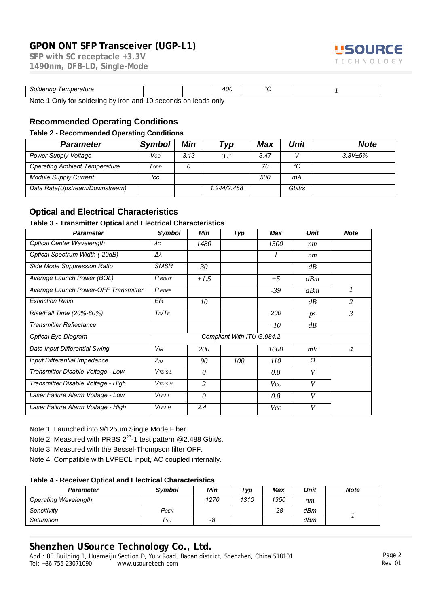**SFP with SC receptacle +3.3V 1490nm, DFB-LD, Single-Mode** 



| Soldering<br>Temperature                                                              |  |  | 400 | $\sim$ |  |  |  |
|---------------------------------------------------------------------------------------|--|--|-----|--------|--|--|--|
| Note<br>10 seconds on<br>ı laads onlv<br>soldering by iron and '<br>t∩r<br>Dniv)<br>. |  |  |     |        |  |  |  |

on and 10 seconds on leads only

#### **Recommended Operating Conditions**

#### **Table 2 - Recommended Operating Conditions**

| <b>Parameter</b>                     | <b>Symbol</b> | Min  | Typ         | Max  | <b>Unit</b> | <b>Note</b> |
|--------------------------------------|---------------|------|-------------|------|-------------|-------------|
| <b>Power Supply Voltage</b>          | Vcc           | 3.13 | 3.3         | 3.47 |             | 3.3V±5%     |
| <b>Operating Ambient Temperature</b> | Topr          |      |             | 70   | °C          |             |
| <b>Module Supply Current</b>         | lcc           |      |             | 500  | mА          |             |
| Data Rate(Upstream/Downstream)       |               |      | 1.244/2.488 |      | Gbit/s      |             |

#### **Optical and Electrical Characteristics**

#### **Table 3 - Transmitter Optical and Electrical Characteristics**

| <b>Parameter</b>                     | <b>Symbol</b>      | Min            | Typ                        | Max           | <b>Unit</b> | <b>Note</b>    |
|--------------------------------------|--------------------|----------------|----------------------------|---------------|-------------|----------------|
| <b>Optical Center Wavelength</b>     | $\lambda c$        | 1480           |                            | 1500          | nm          |                |
| Optical Spectrum Width (-20dB)       | Δλ                 |                |                            | $\mathcal{I}$ | nm          |                |
| Side Mode Suppression Ratio          | <b>SMSR</b>        | 30             |                            |               | dB          |                |
| Average Launch Power (BOL)           | $P$ BOUT           | $+1.5$         |                            | $+5$          | dBm         |                |
| Average Launch Power-OFF Transmitter | <b>PEOFF</b>       |                |                            | $-39$         | dBm         | 1              |
| <b>Extinction Ratio</b>              | <b>ER</b>          | 10             |                            |               | dB          | 2              |
| Rise/Fall Time (20%-80%)             | $T_R/T_F$          |                |                            | 200           | ps          | 3              |
| <b>Transmitter Reflectance</b>       |                    |                |                            | $-10$         | dB          |                |
| <b>Optical Eye Diagram</b>           |                    |                | Compliant With ITU G.984.2 |               |             |                |
| Data Input Differential Swing        | $V_{IN}$           | <i>200</i>     |                            | 1600          | mV          | $\overline{4}$ |
| <b>Input Differential Impedance</b>  | $Z_{IN}$           | 90             | 100                        | 110           | Ω           |                |
| Transmitter Disable Voltage - Low    | V <sub>TDISL</sub> | $\theta$       |                            | 0.8           | V           |                |
| Transmitter Disable Voltage - High   | $V$ <i>TDIS,H</i>  | $\overline{c}$ |                            | <i>Vcc</i>    | V           |                |
| Laser Failure Alarm Voltage - Low    | <b>VLFA.L</b>      | $\theta$       |                            | 0.8           | V           |                |
| Laser Failure Alarm Voltage - High   | <b>VLFA.H</b>      | 2.4            |                            | Vcc           | V           |                |

Note 1: Launched into 9/125um Single Mode Fiber.

Note 2: Measured with PRBS  $2^{23}$ -1 test pattern @2.488 Gbit/s.

Note 3: Measured with the Bessel-Thompson filter OFF.

Note 4: Compatible with LVPECL input, AC coupled internally.

#### **Table 4 - Receiver Optical and Electrical Characteristics**

| <b>Parameter</b>            | <b>Symbol</b>    | Min  | Тур  | Max   | Unit | <b>Note</b> |
|-----------------------------|------------------|------|------|-------|------|-------------|
| <b>Operating Wavelength</b> |                  | 1270 | 1310 | 1350  | nm   |             |
| Sensitivity                 | P <sub>SEN</sub> |      |      | $-28$ | dBm  |             |
| Saturation                  | Pov              | -0   |      |       | dBm  |             |

## **Shenzhen USource Technology Co., Ltd.**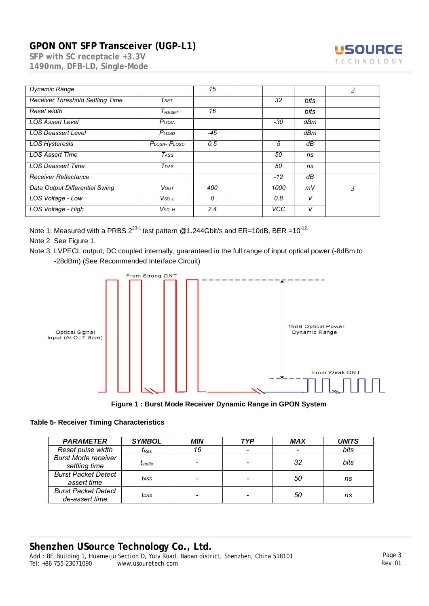

| <b>Dynamic Range</b>             |                    | 15    |            |      | 2 |
|----------------------------------|--------------------|-------|------------|------|---|
| Receiver Threshold Settling Time | T <sub>SET</sub>   |       | 32         | bits |   |
| Reset width                      | $T_{RESET}$        | 16    |            | bits |   |
| <b>LOS Assert Level</b>          | Plosa              |       | -30        | dBm  |   |
| <b>LOS Deassert Level</b>        | PLOSD              | $-45$ |            | dBm  |   |
| <b>LOS Hysteresis</b>            | PLOSA-PLOSD        | 0.5   | 5          | dB   |   |
| <b>LOS Assert Time</b>           | TASS               |       | 50         | ns   |   |
| <b>LOS Deassert Time</b>         | TDAS               |       | 50         | ns   |   |
| <b>Receiver Reflectance</b>      |                    |       | $-12$      | dB   |   |
| Data Output Differential Swing   | VOUT               | 400   | 1000       | mV   | 3 |
| LOS Voltage - Low                | V <sub>SD, L</sub> | 0     | 0.8        | V    |   |
| LOS Voltage - High               | V <sub>SD, H</sub> | 2.4   | <b>VCC</b> | V    |   |

Note 1: Measured with a PRBS  $2^{23-1}$  test pattern @1.244Gbit/s and ER=10dB, BER =10<sup>-12.</sup>

Note 2: See Figure 1.

Note 3: LVPECL output, DC coupled internally, guaranteed in the full range of input optical power (-8dBm to -28dBm) (See Recommended Interface Circuit)



**Figure 1 : Burst Mode Receiver Dynamic Range in GPON System**

#### **Table 5- Receiver Timing Characteristics**

| <b>PARAMETER</b>                             | <b>SYMBOL</b>    | <b>MIN</b> | <b>TYP</b> | <b>MAX</b>               | <b>UNITS</b> |
|----------------------------------------------|------------------|------------|------------|--------------------------|--------------|
| Reset pulse width                            | $I_{Res}$        | 16         |            | $\overline{\phantom{0}}$ | bits         |
| <b>Burst Mode receiver</b><br>settling time  | $I_{\rm settle}$ |            |            | 32                       | bits         |
| <b>Burst Packet Detect</b><br>assert time    | tass             |            |            | 50                       | ns           |
| <b>Burst Packet Detect</b><br>de-assert time | tdas             |            |            | 50                       | ns           |

## **Shenzhen USource Technology Co., Ltd.**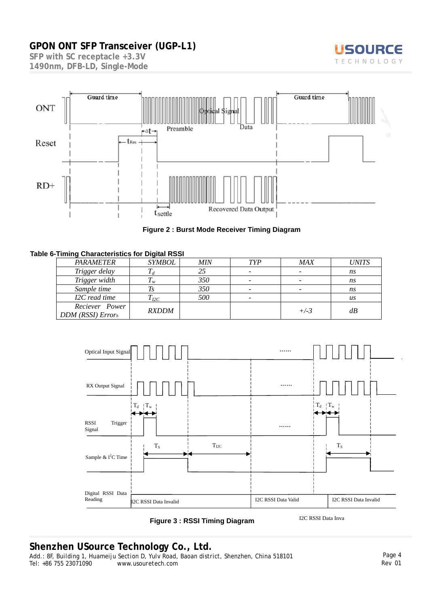

**SFP with SC receptacle +3.3V 1490nm, DFB-LD, Single-Mode** 



#### **Figure 2 : Burst Mode Receiver Timing Diagram**

#### **Table 6-Timing Characteristics for Digital RSSI**

| PARAMETER                                  | <b>SYMBOL</b>  | <b>MIN</b> | <b>TYP</b>               | <b>MAX</b> | <b>UNITS</b> |
|--------------------------------------------|----------------|------------|--------------------------|------------|--------------|
| Trigger delay                              |                | 25         | -                        |            | ns           |
| Trigger width                              | $\mathbf{L}_w$ | 350        | $\overline{\phantom{a}}$ |            | ns           |
| Sample time                                |                | 350        | $\overline{\phantom{a}}$ |            | ns           |
| I2C read time                              | $T_{I2C}$      | 500        | $\overline{\phantom{a}}$ |            | us           |
| Reciever Power<br><b>DDM</b> (RSSI) Errorh | <b>RXDDM</b>   |            |                          | $+/-3$     | dB           |



 **Figure 3 : RSSI Timing Diagram** 

I2C RSSI Data Inva

### **Shenzhen USource Technology Co., Ltd.**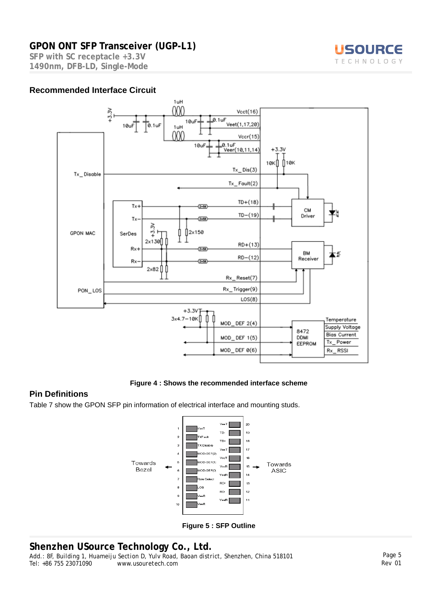**SFP with SC receptacle +3.3V 1490nm, DFB-LD, Single-Mode** 





**Figure 4 : Shows the recommended interface scheme** 

### **Pin Definitions**

Table 7 show the GPON SFP pin information of electrical interface and mounting studs.



**Figure 5 : SFP Outline** 

## **Shenzhen USource Technology Co., Ltd.**



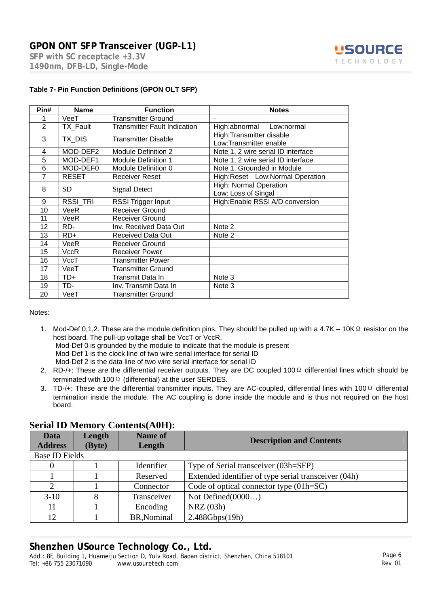**SFP with SC receptacle +3.3V 1490nm, DFB-LD, Single-Mode** 



| Pin#           | <b>Name</b>     | <b>Function</b>                     | <b>Notes</b>                                       |
|----------------|-----------------|-------------------------------------|----------------------------------------------------|
|                | VeeT            | <b>Transmitter Ground</b>           | $\blacksquare$                                     |
| $\overline{2}$ | TX Fault        | <b>Transmitter Fault Indication</b> | High:abnormal<br>Low:normal                        |
| 3              | TX_DIS          | <b>Transmitter Disable</b>          | High:Transmitter disable<br>Low:Transmitter enable |
| 4              | MOD-DEF2        | <b>Module Definition 2</b>          | Note 1, 2 wire serial ID interface                 |
| 5              | MOD-DEF1        | Module Definition 1                 | Note 1, 2 wire serial ID interface                 |
| 6              | MOD-DEF0        | Module Definition 0                 | Note 1, Grounded in Module                         |
| 7              | <b>RESET</b>    | <b>Receiver Reset</b>               | High:Reset Low:Normal Operation                    |
| 8              | <b>SD</b>       | <b>Signal Detect</b>                | High: Normal Operation<br>Low: Loss of Singal      |
| 9              | <b>RSSI TRI</b> | RSSI Trigger Input                  | High:Enable RSSI A/D conversion                    |
| 10             | VeeR            | <b>Receiver Ground</b>              |                                                    |
| 11             | VeeR            | <b>Receiver Ground</b>              |                                                    |
| 12             | RD-             | Inv. Received Data Out              | Note 2                                             |
| 13             | $RD+$           | <b>Received Data Out</b>            | Note 2                                             |
| 14             | VeeR            | <b>Receiver Ground</b>              |                                                    |
| 15             | <b>VccR</b>     | <b>Receiver Power</b>               |                                                    |
| 16             | VccT            | <b>Transmitter Power</b>            |                                                    |
| 17             | VeeT            | <b>Transmitter Ground</b>           |                                                    |
| 18             | TD+             | Transmit Data In                    | Note 3                                             |
| 19             | TD-             | Inv. Transmit Data In               | Note 3                                             |
| 20             | VeeT            | Transmitter Ground                  |                                                    |

#### **Table 7- Pin Function Definitions (GPON OLT SFP)**

#### Notes:

- 1. Mod-Def 0,1,2. These are the module definition pins. They should be pulled up with a 4.7K 10KΩ resistor on the host board. The pull-up voltage shall be VccT or VccR. Mod-Def 0 is grounded by the module to indicate that the module is present Mod-Def 1 is the clock line of two wire serial interface for serial ID Mod-Def 2 is the data line of two wire serial interface for serial ID
- 2. RD-/+: These are the differential receiver outputs. They are DC coupled 100Ω differential lines which should be terminated with 100 Ω (differential) at the user SERDES.
- 3. TD-/+: These are the differential transmitter inputs. They are AC-coupled, differential lines with 100Ω differential termination inside the module. The AC coupling is done inside the module and is thus not required on the host board.

### **Serial ID Memory Contents(A0H):**

| Data<br><b>Address</b> | Length<br>(Byte) | <b>Name of</b><br>Length | <b>Description and Contents</b>                      |
|------------------------|------------------|--------------------------|------------------------------------------------------|
| <b>Base ID Fields</b>  |                  |                          |                                                      |
| $\theta$               |                  | Identifier               | Type of Serial transceiver (03h=SFP)                 |
|                        |                  | Reserved                 | Extended identifier of type serial transceiver (04h) |
| 2                      |                  | Connector                | Code of optical connector type $(01h=SC)$            |
| $3-10$                 |                  | Transceiver              | Not Defined(0000)                                    |
| 11                     |                  | Encoding                 | NRZ(03h)                                             |
| 12                     |                  | BR, Nominal              | 2.488Gbps(19h)                                       |

## **Shenzhen USource Technology Co., Ltd.**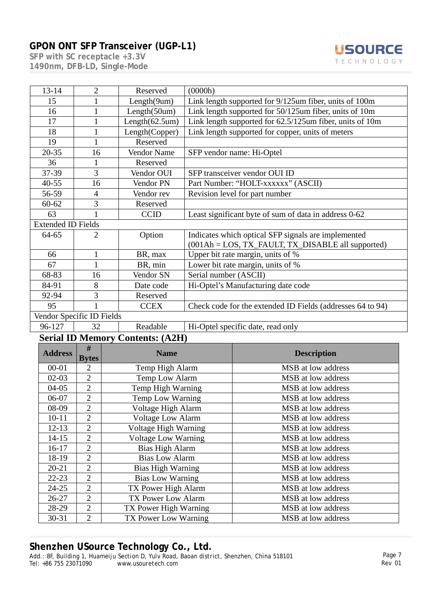**SFP with SC receptacle +3.3V 1490nm, DFB-LD, Single-Mode** 



| $13 - 14$                 | $\overline{2}$            | Reserved              | (0000h)                                                     |
|---------------------------|---------------------------|-----------------------|-------------------------------------------------------------|
| 15                        |                           | Length(9um)           | Link length supported for 9/125um fiber, units of 100m      |
| 16                        |                           | Length(50um)          | Link length supported for 50/125um fiber, units of 10m      |
| 17                        |                           | Length $(62.5$ um $)$ | Link length supported for $62.5/125$ um fiber, units of 10m |
| 18                        |                           | Length(Copper)        | Link length supported for copper, units of meters           |
| 19                        |                           | Reserved              |                                                             |
| $20 - 35$                 | 16                        | Vendor Name           | SFP vendor name: Hi-Optel                                   |
| 36                        |                           | Reserved              |                                                             |
| 37-39                     | 3                         | Vendor OUI            | SFP transceiver vendor OUI ID                               |
| $40 - 55$                 | 16                        | Vendor PN             | Part Number: "HOLT-xxxxxx" (ASCII)                          |
| 56-59                     | 4                         | Vendor rev            | Revision level for part number                              |
| $60 - 62$                 | 3                         | Reserved              |                                                             |
| 63                        |                           | <b>CCID</b>           | Least significant byte of sum of data in address 0-62       |
| <b>Extended ID Fields</b> |                           |                       |                                                             |
| 64-65                     | 2                         | Option                | Indicates which optical SFP signals are implemented         |
|                           |                           |                       | (001Ah = LOS, TX_FAULT, TX_DISABLE all supported)           |
| 66                        | 1                         | BR, max               | Upper bit rate margin, units of %                           |
| 67                        | 1                         | BR, min               | Lower bit rate margin, units of %                           |
| 68-83                     | 16                        | Vendor SN             | Serial number (ASCII)                                       |
| 84-91                     | 8                         | Date code             | Hi-Optel's Manufacturing date code                          |
| 92-94                     | 3                         | Reserved              |                                                             |
| 95                        |                           | <b>CCEX</b>           | Check code for the extended ID Fields (addresses 64 to 94)  |
|                           | Vendor Specific ID Fields |                       |                                                             |
| 96-127                    | 32                        | Readable              | Hi-Optel specific date, read only                           |

## **Serial ID Memory Contents: (A2H)**

| <b>Address</b> | #<br><b>Bytes</b> | <b>Name</b>                | <b>Description</b> |
|----------------|-------------------|----------------------------|--------------------|
| $00 - 01$      | 2                 | Temp High Alarm            | MSB at low address |
| $02-03$        | $\overline{2}$    | Temp Low Alarm             | MSB at low address |
| $04 - 05$      | $\overline{2}$    | Temp High Warning          | MSB at low address |
| 06-07          | $\overline{2}$    | Temp Low Warning           | MSB at low address |
| 08-09          | $\overline{2}$    | Voltage High Alarm         | MSB at low address |
| $10 - 11$      | 2                 | <b>Voltage Low Alarm</b>   | MSB at low address |
| $12 - 13$      | $\overline{2}$    | Voltage High Warning       | MSB at low address |
| $14 - 15$      | $\overline{2}$    | <b>Voltage Low Warning</b> | MSB at low address |
| $16-17$        | $\overline{2}$    | <b>Bias High Alarm</b>     | MSB at low address |
| 18-19          | 2                 | <b>Bias Low Alarm</b>      | MSB at low address |
| $20 - 21$      | $\overline{2}$    | <b>Bias High Warning</b>   | MSB at low address |
| $22 - 23$      | $\overline{2}$    | <b>Bias Low Warning</b>    | MSB at low address |
| $24 - 25$      | $\overline{2}$    | TX Power High Alarm        | MSB at low address |
| $26 - 27$      | $\overline{2}$    | TX Power Low Alarm         | MSB at low address |
| 28-29          | $\overline{2}$    | TX Power High Warning      | MSB at low address |
| $30 - 31$      | $\overline{2}$    | TX Power Low Warning       | MSB at low address |

## **Shenzhen USource Technology Co., Ltd.**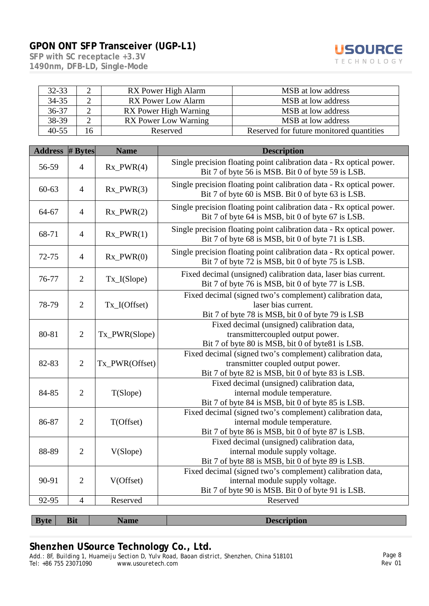



| $32 - 33$ |    | RX Power High Alarm          | MSB at low address                       |
|-----------|----|------------------------------|------------------------------------------|
| $34 - 35$ |    | RX Power Low Alarm           | MSB at low address                       |
| 36-37     |    | <b>RX</b> Power High Warning | MSB at low address                       |
| 38-39     |    | <b>RX</b> Power Low Warning  | MSB at low address                       |
| $40 - 55$ | 16 | Reserved                     | Reserved for future monitored quantities |

| <b>Address</b> | $#$ Bytes      | <b>Name</b>    | <b>Description</b>                                                                                                                                  |
|----------------|----------------|----------------|-----------------------------------------------------------------------------------------------------------------------------------------------------|
| 56-59          | $\overline{4}$ | $Rx_PWR(4)$    | Single precision floating point calibration data - Rx optical power.<br>Bit 7 of byte 56 is MSB. Bit 0 of byte 59 is LSB.                           |
| 60-63          | $\overline{4}$ | $Rx_PWR(3)$    | Single precision floating point calibration data - Rx optical power.<br>Bit 7 of byte 60 is MSB. Bit 0 of byte 63 is LSB.                           |
| 64-67          | $\overline{4}$ | $Rx_PWR(2)$    | Single precision floating point calibration data - Rx optical power.<br>Bit 7 of byte 64 is MSB, bit 0 of byte 67 is LSB.                           |
| 68-71          | $\overline{4}$ | $Rx_PWR(1)$    | Single precision floating point calibration data - Rx optical power.<br>Bit 7 of byte 68 is MSB, bit 0 of byte 71 is LSB.                           |
| 72-75          | $\overline{4}$ | $Rx_PWR(0)$    | Single precision floating point calibration data - Rx optical power.<br>Bit 7 of byte 72 is MSB, bit 0 of byte 75 is LSB.                           |
| 76-77          | $\overline{2}$ | Tx_I(Slope)    | Fixed decimal (unsigned) calibration data, laser bias current.<br>Bit 7 of byte 76 is MSB, bit 0 of byte 77 is LSB.                                 |
| 78-79          | $\overline{2}$ | $Tx_I(Offset)$ | Fixed decimal (signed two's complement) calibration data,<br>laser bias current.<br>Bit 7 of byte 78 is MSB, bit 0 of byte 79 is LSB                |
| 80-81          | $\overline{2}$ | Tx_PWR(Slope)  | Fixed decimal (unsigned) calibration data,<br>transmittercoupled output power.<br>Bit 7 of byte 80 is MSB, bit 0 of byte81 is LSB.                  |
| 82-83          | $\overline{2}$ | Tx_PWR(Offset) | Fixed decimal (signed two's complement) calibration data,<br>transmitter coupled output power.<br>Bit 7 of byte 82 is MSB, bit 0 of byte 83 is LSB. |
| 84-85          | $\overline{2}$ | T(Slope)       | Fixed decimal (unsigned) calibration data,<br>internal module temperature.<br>Bit 7 of byte 84 is MSB, bit 0 of byte 85 is LSB.                     |
| 86-87          | $\overline{2}$ | T(Offset)      | Fixed decimal (signed two's complement) calibration data,<br>internal module temperature.<br>Bit 7 of byte 86 is MSB, bit 0 of byte 87 is LSB.      |
| 88-89          | $\overline{2}$ | V(Slope)       | Fixed decimal (unsigned) calibration data,<br>internal module supply voltage.<br>Bit 7 of byte 88 is MSB, bit 0 of byte 89 is LSB.                  |
| 90-91          | $\overline{2}$ | V(Offset)      | Fixed decimal (signed two's complement) calibration data,<br>internal module supply voltage.<br>Bit 7 of byte 90 is MSB. Bit 0 of byte 91 is LSB.   |
| 92-95          | $\overline{4}$ | Reserved       | Reserved                                                                                                                                            |
| <b>Byte</b>    | <b>Bit</b>     | <b>Name</b>    | <b>Description</b>                                                                                                                                  |

## **Shenzhen USource Technology Co., Ltd.**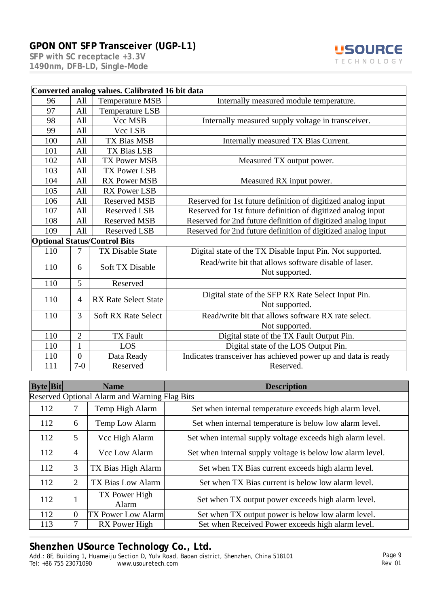**SFP with SC receptacle +3.3V 1490nm, DFB-LD, Single-Mode** 



|     | Converted analog values. Calibrated 16 bit data |                                     |                                                                         |  |  |  |
|-----|-------------------------------------------------|-------------------------------------|-------------------------------------------------------------------------|--|--|--|
| 96  | All                                             | <b>Temperature MSB</b>              | Internally measured module temperature.                                 |  |  |  |
| 97  | All                                             | <b>Temperature LSB</b>              |                                                                         |  |  |  |
| 98  | All                                             | Vcc MSB                             | Internally measured supply voltage in transceiver.                      |  |  |  |
| 99  | All                                             | Vcc LSB                             |                                                                         |  |  |  |
| 100 | All                                             | <b>TX Bias MSB</b>                  | Internally measured TX Bias Current.                                    |  |  |  |
| 101 | All                                             | <b>TX Bias LSB</b>                  |                                                                         |  |  |  |
| 102 | All                                             | <b>TX Power MSB</b>                 | Measured TX output power.                                               |  |  |  |
| 103 | All                                             | <b>TX Power LSB</b>                 |                                                                         |  |  |  |
| 104 | All                                             | <b>RX Power MSB</b>                 | Measured RX input power.                                                |  |  |  |
| 105 | All                                             | <b>RX Power LSB</b>                 |                                                                         |  |  |  |
| 106 | All                                             | <b>Reserved MSB</b>                 | Reserved for 1st future definition of digitized analog input            |  |  |  |
| 107 | All                                             | <b>Reserved LSB</b>                 | Reserved for 1st future definition of digitized analog input            |  |  |  |
| 108 | All                                             | <b>Reserved MSB</b>                 | Reserved for 2nd future definition of digitized analog input            |  |  |  |
| 109 | All                                             | <b>Reserved LSB</b>                 | Reserved for 2nd future definition of digitized analog input            |  |  |  |
|     |                                                 | <b>Optional Status/Control Bits</b> |                                                                         |  |  |  |
| 110 |                                                 | <b>TX Disable State</b>             | Digital state of the TX Disable Input Pin. Not supported.               |  |  |  |
| 110 | 6                                               | <b>Soft TX Disable</b>              | Read/write bit that allows software disable of laser.<br>Not supported. |  |  |  |
| 110 | 5                                               | Reserved                            |                                                                         |  |  |  |
| 110 | $\overline{4}$                                  | <b>RX Rate Select State</b>         | Digital state of the SFP RX Rate Select Input Pin.<br>Not supported.    |  |  |  |
| 110 | 3                                               | <b>Soft RX Rate Select</b>          | Read/write bit that allows software RX rate select.                     |  |  |  |
|     |                                                 |                                     | Not supported.                                                          |  |  |  |
| 110 | $\overline{2}$                                  | <b>TX Fault</b>                     | Digital state of the TX Fault Output Pin.                               |  |  |  |
| 110 | $\mathbf{1}$                                    | LOS                                 | Digital state of the LOS Output Pin.                                    |  |  |  |
| 110 | $\overline{0}$                                  | Data Ready                          | Indicates transceiver has achieved power up and data is ready           |  |  |  |
| 111 | $7-0$                                           | Reserved                            | Reserved.                                                               |  |  |  |

| <b>Byte Bit</b>                               |                | <b>Name</b>               | <b>Description</b>                                         |  |
|-----------------------------------------------|----------------|---------------------------|------------------------------------------------------------|--|
| Reserved Optional Alarm and Warning Flag Bits |                |                           |                                                            |  |
| 112                                           | 7              | Temp High Alarm           | Set when internal temperature exceeds high alarm level.    |  |
| 112                                           | 6              | Temp Low Alarm            | Set when internal temperature is below low alarm level.    |  |
| 112                                           | 5              | Vcc High Alarm            | Set when internal supply voltage exceeds high alarm level. |  |
| 112                                           | $\overline{4}$ | Vcc Low Alarm             | Set when internal supply voltage is below low alarm level. |  |
| 112                                           | 3              | TX Bias High Alarm        | Set when TX Bias current exceeds high alarm level.         |  |
| 112                                           | 2              | TX Bias Low Alarm         | Set when TX Bias current is below low alarm level.         |  |
| 112                                           | 1<br>л.        | TX Power High<br>Alarm    | Set when TX output power exceeds high alarm level.         |  |
| 112                                           | $\overline{0}$ | <b>TX Power Low Alarm</b> | Set when TX output power is below low alarm level.         |  |
| 113                                           | 7              | RX Power High             | Set when Received Power exceeds high alarm level.          |  |

## **Shenzhen USource Technology Co., Ltd.**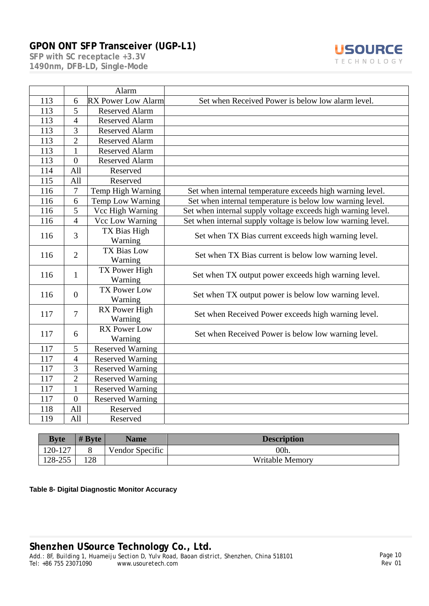**SFP with SC receptacle +3.3V 1490nm, DFB-LD, Single-Mode** 



|     |                | Alarm                                                                            |                                                              |  |  |
|-----|----------------|----------------------------------------------------------------------------------|--------------------------------------------------------------|--|--|
| 113 | 6              | <b>RX Power Low Alarm</b>                                                        | Set when Received Power is below low alarm level.            |  |  |
| 113 | 5              | <b>Reserved Alarm</b>                                                            |                                                              |  |  |
| 113 | $\overline{4}$ | <b>Reserved Alarm</b>                                                            |                                                              |  |  |
| 113 | $\overline{3}$ | <b>Reserved Alarm</b>                                                            |                                                              |  |  |
| 113 | $\overline{2}$ | <b>Reserved Alarm</b>                                                            |                                                              |  |  |
| 113 | $\mathbf{1}$   | <b>Reserved Alarm</b>                                                            |                                                              |  |  |
| 113 | $\overline{0}$ | <b>Reserved Alarm</b>                                                            |                                                              |  |  |
| 114 | All            | Reserved                                                                         |                                                              |  |  |
| 115 | All            | Reserved                                                                         |                                                              |  |  |
| 116 | $\overline{7}$ | Temp High Warning                                                                | Set when internal temperature exceeds high warning level.    |  |  |
| 116 | 6              | Temp Low Warning                                                                 | Set when internal temperature is below low warning level.    |  |  |
| 116 | 5              | Vcc High Warning                                                                 | Set when internal supply voltage exceeds high warning level. |  |  |
| 116 | $\overline{4}$ | Vcc Low Warning                                                                  | Set when internal supply voltage is below low warning level. |  |  |
| 116 | 3              | TX Bias High<br>Warning                                                          | Set when TX Bias current exceeds high warning level.         |  |  |
| 116 | $\overline{2}$ | <b>TX Bias Low</b><br>Warning                                                    | Set when TX Bias current is below low warning level.         |  |  |
| 116 | 1              | TX Power High<br>Set when TX output power exceeds high warning level.<br>Warning |                                                              |  |  |
| 116 | $\theta$       | <b>TX Power Low</b><br>Warning                                                   | Set when TX output power is below low warning level.         |  |  |
| 117 | $\overline{7}$ | RX Power High<br>Warning                                                         | Set when Received Power exceeds high warning level.          |  |  |
| 117 | 6              | <b>RX Power Low</b><br>Warning                                                   | Set when Received Power is below low warning level.          |  |  |
| 117 | 5              | <b>Reserved Warning</b>                                                          |                                                              |  |  |
| 117 | $\overline{4}$ | <b>Reserved Warning</b>                                                          |                                                              |  |  |
| 117 | 3              | <b>Reserved Warning</b>                                                          |                                                              |  |  |
| 117 | $\overline{2}$ | <b>Reserved Warning</b>                                                          |                                                              |  |  |
| 117 | $\mathbf{1}$   | <b>Reserved Warning</b>                                                          |                                                              |  |  |
| 117 | $\overline{0}$ | <b>Reserved Warning</b>                                                          |                                                              |  |  |
| 118 | All            | Reserved                                                                         |                                                              |  |  |
| 119 | All            | Reserved                                                                         |                                                              |  |  |

| <b>Byte</b> | $# B$ vte | <b>Name</b>     | <b>Description</b>     |
|-------------|-----------|-----------------|------------------------|
| 120-127     |           | Vendor Specific | 00h.                   |
| 128-255     | 128       |                 | <b>Writable Memory</b> |

**Table 8- Digital Diagnostic Monitor Accuracy**